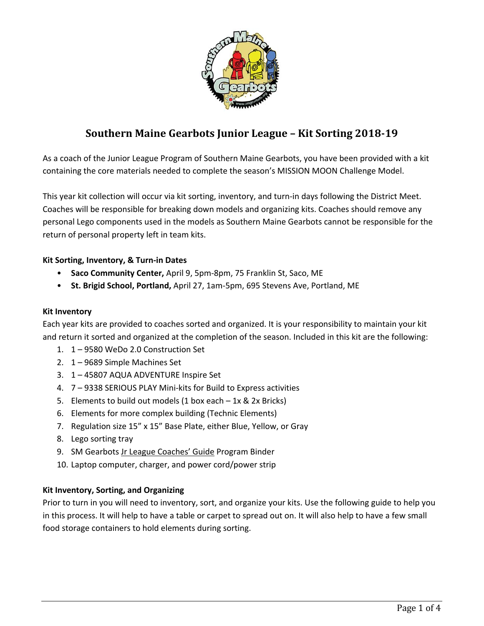

# **Southern Maine Gearbots Junior League – Kit Sorting 2018‐19**

As a coach of the Junior League Program of Southern Maine Gearbots, you have been provided with a kit containing the core materials needed to complete the season's MISSION MOON Challenge Model.

This year kit collection will occur via kit sorting, inventory, and turn-in days following the District Meet. Coaches will be responsible for breaking down models and organizing kits. Coaches should remove any personal Lego components used in the models as Southern Maine Gearbots cannot be responsible for the return of personal property left in team kits.

## **Kit Sorting, Inventory, & Turn‐in Dates**

- **Saco Community Center,** April 9, 5pm‐8pm, 75 Franklin St, Saco, ME
- **St. Brigid School, Portland,** April 27, 1am‐5pm, 695 Stevens Ave, Portland, ME

#### **Kit Inventory**

Each year kits are provided to coaches sorted and organized. It is your responsibility to maintain your kit and return it sorted and organized at the completion of the season. Included in this kit are the following:

- 1. 1 9580 WeDo 2.0 Construction Set
- 2. 1 9689 Simple Machines Set
- 3. 1 45807 AQUA ADVENTURE Inspire Set
- 4. 7 9338 SERIOUS PLAY Mini‐kits for Build to Express activities
- 5. Elements to build out models (1 box each 1x & 2x Bricks)
- 6. Elements for more complex building (Technic Elements)
- 7. Regulation size 15" x 15" Base Plate, either Blue, Yellow, or Gray
- 8. Lego sorting tray
- 9. SM Gearbots Jr League Coaches' Guide Program Binder
- 10. Laptop computer, charger, and power cord/power strip

#### **Kit Inventory, Sorting, and Organizing**

Prior to turn in you will need to inventory, sort, and organize your kits. Use the following guide to help you in this process. It will help to have a table or carpet to spread out on. It will also help to have a few small food storage containers to hold elements during sorting.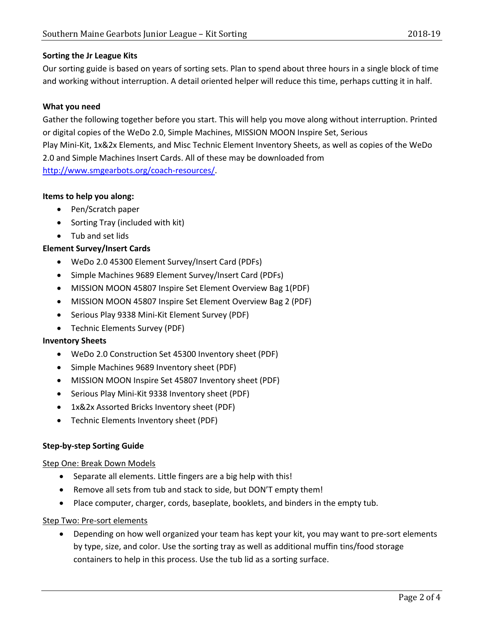## **Sorting the Jr League Kits**

Our sorting guide is based on years of sorting sets. Plan to spend about three hours in a single block of time and working without interruption. A detail oriented helper will reduce this time, perhaps cutting it in half.

## **What you need**

Gather the following together before you start. This will help you move along without interruption. Printed or digital copies of the WeDo 2.0, Simple Machines, MISSION MOON Inspire Set, Serious Play Mini‐Kit, 1x&2x Elements, and Misc Technic Element Inventory Sheets, as well as copies of the WeDo 2.0 and Simple Machines Insert Cards. All of these may be downloaded from http://www.smgearbots.org/coach‐resources/.

#### **Items to help you along:**

- Pen/Scratch paper
- Sorting Tray (included with kit)
- Tub and set lids

## **Element Survey/Insert Cards**

- WeDo 2.0 45300 Element Survey/Insert Card (PDFs)
- Simple Machines 9689 Element Survey/Insert Card (PDFs)
- MISSION MOON 45807 Inspire Set Element Overview Bag 1(PDF)
- MISSION MOON 45807 Inspire Set Element Overview Bag 2 (PDF)
- Serious Play 9338 Mini-Kit Element Survey (PDF)
- Technic Elements Survey (PDF)

#### **Inventory Sheets**

- WeDo 2.0 Construction Set 45300 Inventory sheet (PDF)
- Simple Machines 9689 Inventory sheet (PDF)
- MISSION MOON Inspire Set 45807 Inventory sheet (PDF)
- Serious Play Mini-Kit 9338 Inventory sheet (PDF)
- 1x&2x Assorted Bricks Inventory sheet (PDF)
- Technic Elements Inventory sheet (PDF)

#### **Step‐by‐step Sorting Guide**

#### Step One: Break Down Models

- Separate all elements. Little fingers are a big help with this!
- Remove all sets from tub and stack to side, but DON'T empty them!
- Place computer, charger, cords, baseplate, booklets, and binders in the empty tub.

#### Step Two: Pre‐sort elements

● Depending on how well organized your team has kept your kit, you may want to pre-sort elements by type, size, and color. Use the sorting tray as well as additional muffin tins/food storage containers to help in this process. Use the tub lid as a sorting surface.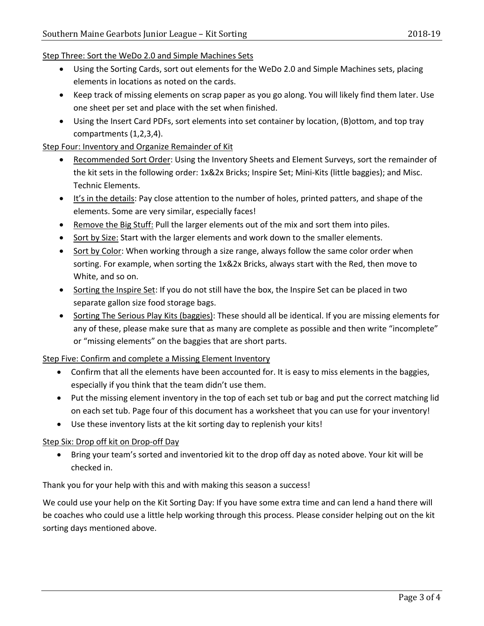- Using the Sorting Cards, sort out elements for the WeDo 2.0 and Simple Machines sets, placing elements in locations as noted on the cards.
- Keep track of missing elements on scrap paper as you go along. You will likely find them later. Use one sheet per set and place with the set when finished.
- Using the Insert Card PDFs, sort elements into set container by location, (B)ottom, and top tray compartments (1,2,3,4).

## Step Four: Inventory and Organize Remainder of Kit

- Recommended Sort Order: Using the Inventory Sheets and Element Surveys, sort the remainder of the kit sets in the following order: 1x&2x Bricks; Inspire Set; Mini‐Kits (little baggies); and Misc. Technic Elements.
- $\bullet$  It's in the details: Pay close attention to the number of holes, printed patters, and shape of the elements. Some are very similar, especially faces!
- **•** Remove the Big Stuff: Pull the larger elements out of the mix and sort them into piles.
- Sort by Size: Start with the larger elements and work down to the smaller elements.
- Sort by Color: When working through a size range, always follow the same color order when sorting. For example, when sorting the 1x&2x Bricks, always start with the Red, then move to White, and so on.
- Sorting the Inspire Set: If you do not still have the box, the Inspire Set can be placed in two separate gallon size food storage bags.
- Sorting The Serious Play Kits (baggies): These should all be identical. If you are missing elements for any of these, please make sure that as many are complete as possible and then write "incomplete" or "missing elements" on the baggies that are short parts.

# Step Five: Confirm and complete a Missing Element Inventory

- Confirm that all the elements have been accounted for. It is easy to miss elements in the baggies, especially if you think that the team didn't use them.
- Put the missing element inventory in the top of each set tub or bag and put the correct matching lid on each set tub. Page four of this document has a worksheet that you can use for your inventory!
- Use these inventory lists at the kit sorting day to replenish your kits!

# Step Six: Drop off kit on Drop‐off Day

 Bring your team's sorted and inventoried kit to the drop off day as noted above. Your kit will be checked in.

Thank you for your help with this and with making this season a success!

We could use your help on the Kit Sorting Day: If you have some extra time and can lend a hand there will be coaches who could use a little help working through this process. Please consider helping out on the kit sorting days mentioned above.